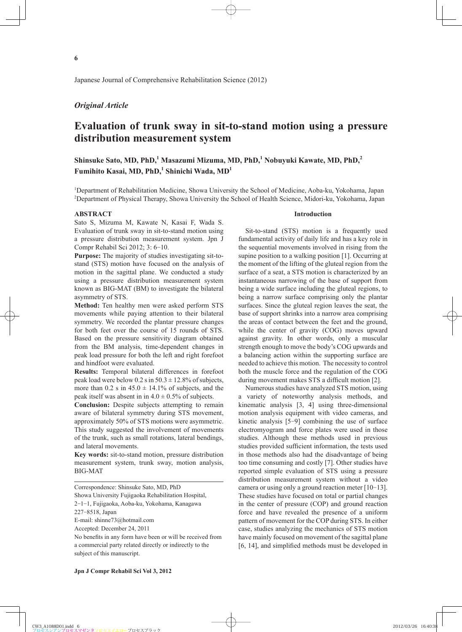Japanese Journal of Comprehensive Rehabilitation Science (2012)

## *Original Article*

# **Evaluation of trunk sway in sit-to-stand motion using a pressure distribution measurement system**

**Shinsuke Sato, MD, PhD,<sup>1</sup> Masazumi Mizuma, MD, PhD,1 Nobuyuki Kawate, MD, PhD,<sup>2</sup>**  $\text{Fumihito Kasai, MD, PhD,}^1$  Shinichi Wada, MD<sup>1</sup>

<sup>1</sup>Department of Rehabilitation Medicine, Showa University the School of Medicine, Aoba-ku, Yokohama, Japan 2 Department of Physical Therapy, Showa University the School of Health Science, Midori-ku, Yokohama, Japan

#### **ABSTRACT**

Sato S, Mizuma M, Kawate N, Kasai F, Wada S. Evaluation of trunk sway in sit-to-stand motion using a pressure distribution measurement system. Jpn J Compr Rehabil Sci 2012; 3: 6-10.

**Purpose:** The majority of studies investigating sit-tostand (STS) motion have focused on the analysis of motion in the sagittal plane. We conducted a study using a pressure distribution measurement system known as BIG-MAT (BM) to investigate the bilateral asymmetry of STS.

**Method:** Ten healthy men were asked perform STS movements while paying attention to their bilateral symmetry. We recorded the plantar pressure changes for both feet over the course of 15 rounds of STS. Based on the pressure sensitivity diagram obtained from the BM analysis, time-dependent changes in peak load pressure for both the left and right forefoot and hindfoot were evaluated.

**Results:** Temporal bilateral differences in forefoot peak load were below  $0.2$  s in  $50.3 \pm 12.8\%$  of subjects, more than  $0.2$  s in  $45.0 \pm 14.1\%$  of subjects, and the peak itself was absent in in  $4.0 \pm 0.5\%$  of subjects.

**Conclusion:** Despite subjects attempting to remain aware of bilateral symmetry during STS movement, approximately 50% of STS motions were asymmetric. This study suggested the involvement of movements of the trunk, such as small rotations, lateral bendings, and lateral movements.

**Key words:** sit-to-stand motion, pressure distribution measurement system, trunk sway, motion analysis, BIG-MAT

Correspondence: Shinsuke Sato, MD, PhD Showa University Fujigaoka Rehabilitation Hospital, 2-1-1, Fujigaoka, Aoba-ku, Yokohama, Kanagawa 227-8518, Japan E-mail: shinne73@hotmail.com Accepted: December 24, 2011

No benefits in any form have been or will be received from a commercial party related directly or indirectly to the subject of this manuscript.

#### **Introduction**

Sit-to-stand (STS) motion is a frequently used fundamental activity of daily life and has a key role in the sequential movements involved in rising from the supine position to a walking position [1]. Occurring at the moment of the lifting of the gluteal region from the surface of a seat, a STS motion is characterized by an instantaneous narrowing of the base of support from being a wide surface including the gluteal regions, to being a narrow surface comprising only the plantar surfaces. Since the gluteal region leaves the seat, the base of support shrinks into a narrow area comprising the areas of contact between the feet and the ground, while the center of gravity (COG) moves upward against gravity. In other words, only a muscular strength enough to move the body's COG upwards and a balancing action within the supporting surface are needed to achieve this motion. The necessity to control both the muscle force and the regulation of the COG during movement makes STS a difficult motion [2].

Numerous studies have analyzed STS motion, using a variety of noteworthy analysis methods, and kinematic analysis [3, 4] using three-dimensional motion analysis equipment with video cameras, and kinetic analysis [5-9] combining the use of surface electromyogram and force plates were used in those studies. Although these methods used in previous studies provided sufficient information, the tests used in those methods also had the disadvantage of being too time consuming and costly [7]. Other studies have reported simple evaluation of STS using a pressure distribution measurement system without a video camera or using only a ground reaction meter [10-13]. These studies have focused on total or partial changes in the center of pressure (COP) and ground reaction force and have revealed the presence of a uniform pattern of movement for the COP during STS. In either case, studies analyzing the mechanics of STS motion have mainly focused on movement of the sagittal plane  $[6, 14]$ , and simplified methods must be developed in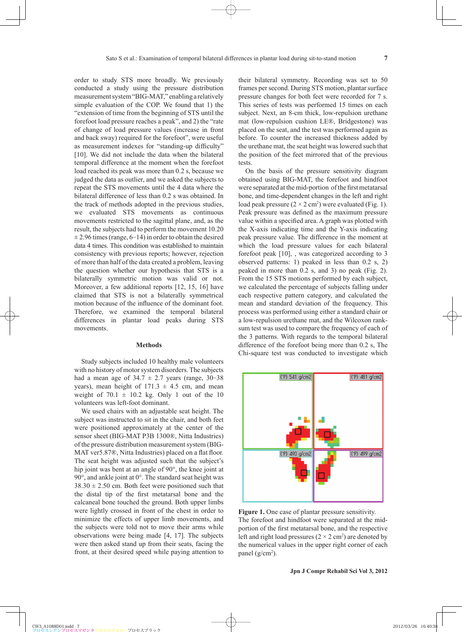order to study STS more broadly. We previously conducted a study using the pressure distribution measurement system "BIG-MAT," enabling a relatively simple evaluation of the COP. We found that 1) the "extension of time from the beginning of STS until the forefoot load pressure reaches a peak", and 2) the "rate of change of load pressure values (increase in front and back sway) required for the forefoot", were useful as measurement indexes for "standing-up difficulty" [10]. We did not include the data when the bilateral temporal difference at the moment when the forefoot load reached its peak was more than 0.2 s, because we judged the data as outlier, and we asked the subjects to repeat the STS movements until the 4 data where the bilateral difference of less than 0.2 s was obtained. In the track of methods adopted in the previous studies, we evaluated STS movements as continuous movements restricted to the sagittal plane, and, as the result, the subjects had to perform the movement 10.20  $\pm$  2.96 times (range, 6–14) in order to obtain the desired data 4 times. This condition was established to maintain consistency with previous reports; however, rejection of more than half of the data created a problem, leaving the question whether our hypothesis that STS is a bilaterally symmetric motion was valid or not. Moreover, a few additional reports [12, 15, 16] have claimed that STS is not a bilaterally symmetrical motion because of the influence of the dominant foot. Therefore, we examined the temporal bilateral differences in plantar load peaks during STS movements.

#### **Methods**

Study subjects included 10 healthy male volunteers with no history of motor system disorders. The subjects had a mean age of  $34.7 \pm 2.7$  years (range,  $30-38$ ) years), mean height of  $171.3 \pm 4.5$  cm, and mean weight of  $70.1 \pm 10.2$  kg. Only 1 out of the 10 volunteers was left-foot dominant.

We used chairs with an adjustable seat height. The subject was instructed to sit in the chair, and both feet were positioned approximately at the center of the sensor sheet (BIG-MAT P3B 1300®, Nitta Industries) of the pressure distribution measurement system (BIG-MAT ver5.87®, Nitta Industries) placed on a flat floor. The seat height was adjusted such that the subject's hip joint was bent at an angle of 90°, the knee joint at 90°, and ankle joint at 0°. The standard seat height was  $38.30 \pm 2.50$  cm. Both feet were positioned such that the distal tip of the first metatarsal bone and the calcaneal bone touched the ground. Both upper limbs were lightly crossed in front of the chest in order to minimize the effects of upper limb movements, and the subjects were told not to move their arms while observations were being made [4, 17]. The subjects were then asked stand up from their seats, facing the front, at their desired speed while paying attention to their bilateral symmetry. Recording was set to 50 frames per second. During STS motion, plantar surface pressure changes for both feet were recorded for 7 s. This series of tests was performed 15 times on each subject. Next, an 8-cm thick, low-repulsion urethane mat (low-repulsion cushion LE®, Bridgestone) was placed on the seat, and the test was performed again as before. To counter the increased thickness added by the urethane mat, the seat height was lowered such that the position of the feet mirrored that of the previous tests.

On the basis of the pressure sensitivity diagram obtained using BIG-MAT, the forefoot and hindfoot were separated at the mid-portion of the first metatarsal bone, and time-dependent changes in the left and right load peak pressure  $(2 \times 2 \text{ cm}^2)$  were evaluated (Fig. 1). Peak pressure was defined as the maximum pressure value within a specified area. A graph was plotted with the X-axis indicating time and the Y-axis indicating peak pressure value. The difference in the moment at which the load pressure values for each bilateral forefoot peak [10], , was categorized according to 3 observed patterns: 1) peaked in less than 0.2 s, 2) peaked in more than 0.2 s, and 3) no peak (Fig. 2). From the 15 STS motions performed by each subject, we calculated the percentage of subjects falling under each respective pattern category, and calculated the mean and standard deviation of the frequency. This process was performed using either a standard chair or a low-repulsion urethane mat, and the Wilcoxon ranksum test was used to compare the frequency of each of the 3 patterns. With regards to the temporal bilateral difference of the forefoot being more than 0.2 s, The Chi-square test was conducted to investigate which



**Figure 1.** One case of plantar pressure sensitivity. The forefoot and hindfoot were separated at the midportion of the first metatarsal bone, and the respective left and right load pressures  $(2 \times 2 \text{ cm}^2)$  are denoted by the numerical values in the upper right corner of each panel  $(g/cm<sup>2</sup>)$ .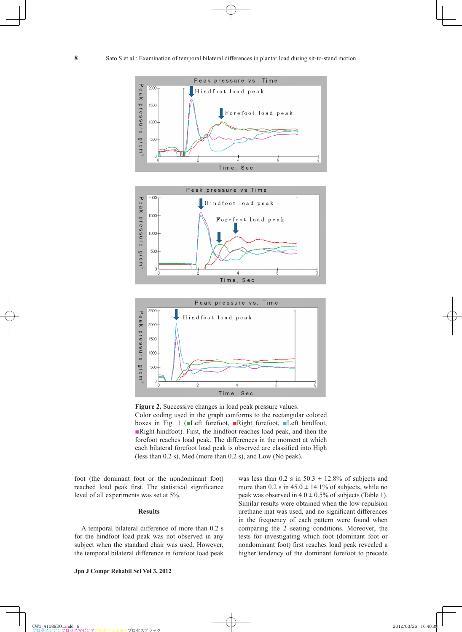





**Figure 2.** Successive changes in load peak pressure values. Color coding used in the graph conforms to the rectangular colored boxes in Fig. 1 (■Left forefoot, ■Right forefoot, ■Left hindfoot, ■Right hindfoot). First, the hindfoot reaches load peak, and then the forefoot reaches load peak. The differences in the moment at which each bilateral forefoot load peak is observed are classified into High (less than 0.2 s), Med (more than 0.2 s), and Low (No peak).

foot (the dominant foot or the nondominant foot) reached load peak first. The statistical significance level of all experiments was set at 5%.

## **Results**

A temporal bilateral difference of more than 0.2 s for the hindfoot load peak was not observed in any subject when the standard chair was used. However, the temporal bilateral difference in forefoot load peak was less than  $0.2$  s in  $50.3 \pm 12.8\%$  of subjects and more than  $0.2$  s in  $45.0 \pm 14.1\%$  of subjects, while no peak was observed in  $4.0 \pm 0.5\%$  of subjects (Table 1). Similar results were obtained when the low-repulsion urethane mat was used, and no significant differences in the frequency of each pattern were found when comparing the 2 seating conditions. Moreover, the tests for investigating which foot (dominant foot or nondominant foot) first reaches load peak revealed a higher tendency of the dominant forefoot to precede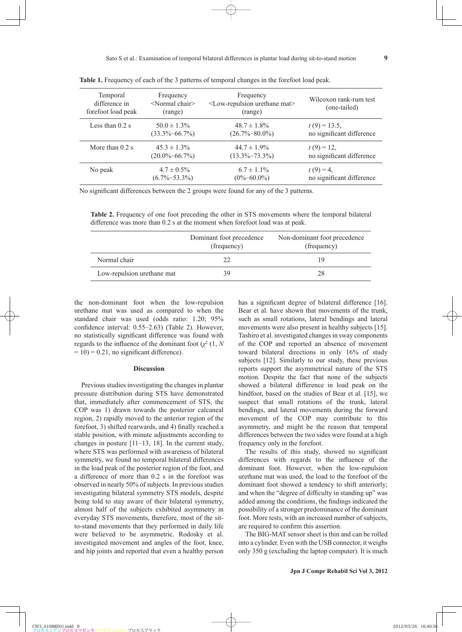| Temporal<br>difference in<br>forefoot load peak | Frequency<br>$\leq$ Normal chair $\geq$<br>(range) | Frequency<br><low-repulsion mat="" urethane=""><br/>(range)</low-repulsion> | Wilcoxon rank-rum test<br>(one-tailed) |
|-------------------------------------------------|----------------------------------------------------|-----------------------------------------------------------------------------|----------------------------------------|
| Less than $0.2$ s                               | $50.0 \pm 1.3\%$                                   | $48.7 \pm 1.8\%$                                                            | $t(9) = 13.5$ ,                        |
|                                                 | $(33.3\% - 66.7\%)$                                | $(26.7\% - 80.0\%)$                                                         | no significant difference              |
| More than $0.2$ s                               | $45.3 \pm 1.3\%$                                   | $44.7 \pm 1.9\%$                                                            | $t(9) = 12$                            |
|                                                 | $(20.0\% - 66.7\%)$                                | $(13.3\% - 73.3\%)$                                                         | no significant difference              |
| No peak                                         | $4.7 \pm 0.5\%$                                    | $6.7 \pm 1.1\%$                                                             | $t(9) = 4$                             |
|                                                 | $(6.7\% - 53.3\%)$                                 | $(0\% - 60.0\%)$                                                            | no significant difference              |

**Table 1.** Frequency of each of the 3 patterns of temporal changes in the forefoot load peak.

No significant differences between the 2 groups were found for any of the 3 patterns.

**Table 2.** Frequency of one foot preceding the other in STS movements where the temporal bilateral difference was more than 0.2 s at the moment when forefoot load was at peak.

|                            | Dominant foot precedence<br>(frequency) | Non-dominant foot precedence<br>(frequency) |
|----------------------------|-----------------------------------------|---------------------------------------------|
| Normal chair               | 22                                      | 19                                          |
| Low-repulsion urethane mat | 39                                      | 28                                          |

the non-dominant foot when the low-repulsion urethane mat was used as compared to when the standard chair was used (odds ratio: 1.20; 95% confidence interval: 0.55-2.63) (Table 2). However, no statistically significant difference was found with regards to the influence of the dominant foot  $(\chi^2(1, N))$  $= 10$ ) = 0.21, no significant difference).

### **Discussion**

Previous studies investigating the changes in plantar pressure distribution during STS have demonstrated that, immediately after commencement of STS, the COP was 1) drawn towards the posterior calcaneal region, 2) rapidly moved to the anterior region of the forefoot, 3) shifted rearwards, and 4) finally reached a stable position, with minute adjustments according to changes in posture [11-13, 18]. In the current study, where STS was performed with awareness of bilateral symmetry, we found no temporal bilateral differences in the load peak of the posterior region of the foot, and a difference of more than 0.2 s in the forefoot was observed in nearly 50% of subjects. In previous studies investigating bilateral symmetry STS models, despite being told to stay aware of their bilateral symmetry, almost half of the subjects exhibited asymmetry in everyday STS movements, therefore, most of the sitto-stand movements that they performed in daily life were believed to be asymmetric. Rodosky et al. investigated movement and angles of the foot, knee, and hip joints and reported that even a healthy person has a significant degree of bilateral difference  $[16]$ . Bear et al. have shown that movements of the trunk, such as small rotations, lateral bendings and lateral movements were also present in healthy subjects [15]. Tashiro et al. investigated changes in sway components of the COP and reported an absence of movement toward bilateral directions in only 16% of study subjects [12]. Similarly to our study, these previous reports support the asymmetrical nature of the STS motion. Despite the fact that none of the subjects showed a bilateral difference in load peak on the hindfoot, based on the studies of Bear et al. [15], we suspect that small rotations of the trunk, lateral bendings, and lateral movements during the forward movement of the COP may contribute to this asymmetry, and might be the reason that temporal differences between the two sides were found at a high frequency only in the forefoot.

The results of this study, showed no significant differences with regards to the influence of the dominant foot. However, when the low-repulsion urethane mat was used, the load to the forefoot of the dominant foot showed a tendency to shift anteriorly; and when the "degree of difficulty in standing up" was added among the conditions, the findings indicated the possibility of a stronger predominance of the dominant foot. More tests, with an increased number of subjects, are required to confirm this assertion.

The BIG-MAT sensor sheet is thin and can be rolled into a cylinder. Even with the USB connector, it weighs only 350 g (excluding the laptop computer). It is much